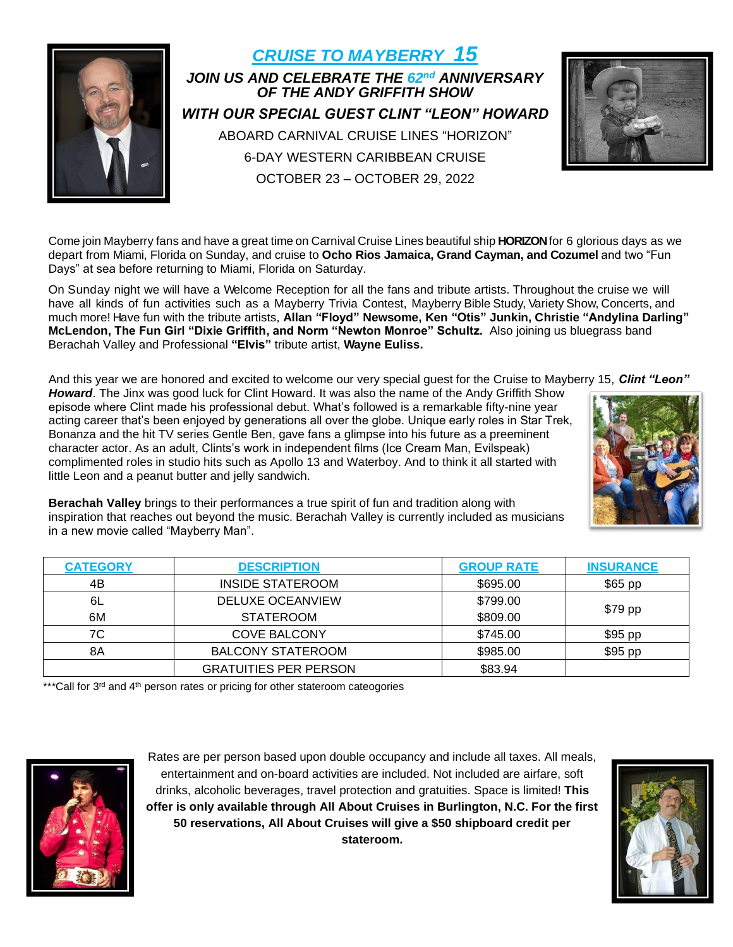

*CRUISE TO MAYBERRY 15 JOIN US AND CELEBRATE THE 62 nd ANNIVERSARY OF THE ANDY GRIFFITH SHOW WITH OUR SPECIAL GUEST CLINT "LEON" HOWARD* ABOARD CARNIVAL CRUISE LINES "HORIZON" 6-DAY WESTERN CARIBBEAN CRUISE OCTOBER 23 – OCTOBER 29, 2022



Come join Mayberry fans and have a great time on Carnival Cruise Lines beautiful ship HORIZON for 6 glorious days as we depart from Miami, Florida on Sunday, and cruise to **Ocho Rios Jamaica, Grand Cayman, and Cozumel** and two "Fun Days" at sea before returning to Miami, Florida on Saturday.

On Sunday night we will have a Welcome Reception for all the fans and tribute artists. Throughout the cruise we will have all kinds of fun activities such as a Mayberry Trivia Contest, Mayberry Bible Study, Variety Show, Concerts, and much more! Have fun with the tribute artists, **Allan "Floyd" Newsome, Ken "Otis" Junkin, Christie "Andylina Darling" McLendon, The Fun Girl "Dixie Griffith, and Norm "Newton Monroe" Schultz.** Also joining us bluegrass band Berachah Valley and Professional **"Elvis"** tribute artist, **Wayne Euliss.**

And this year we are honored and excited to welcome our very special guest for the Cruise to Mayberry 15, *Clint "Leon"* 

*Howard*. The Jinx was good luck for Clint Howard. It was also the name of the Andy Griffith Show episode where Clint made his professional debut. What's followed is a remarkable fifty-nine year acting career that's been enjoyed by generations all over the globe. Unique early roles in Star Trek, Bonanza and the hit TV series Gentle Ben, gave fans a glimpse into his future as a preeminent character actor. As an adult, Clints's work in independent films (Ice Cream Man, Evilspeak) complimented roles in studio hits such as Apollo 13 and Waterboy. And to think it all started with little Leon and a peanut butter and jelly sandwich.



**Berachah Valley** brings to their performances a true spirit of fun and tradition along with inspiration that reaches out beyond the music. Berachah Valley is currently included as musicians in a new movie called "Mayberry Man".

| <b>CATEGORY</b> | <b>DESCRIPTION</b>           | <b>GROUP RATE</b> | <b>INSURANCE</b> |  |
|-----------------|------------------------------|-------------------|------------------|--|
| 4B              | <b>INSIDE STATEROOM</b>      | \$695.00          | $$65$ pp         |  |
| 6L              | DELUXE OCEANVIEW             | \$799.00          |                  |  |
| 6M              | <b>STATEROOM</b>             | \$809.00          | \$79 pp          |  |
| 7C              | <b>COVE BALCONY</b>          | \$745.00          | \$95 pp          |  |
| 8Α              | <b>BALCONY STATEROOM</b>     | \$985.00          | \$95 pp          |  |
|                 | <b>GRATUITIES PER PERSON</b> | \$83.94           |                  |  |

\*\*\*Call for 3<sup>rd</sup> and 4<sup>th</sup> person rates or pricing for other stateroom cateogories



Rates are per person based upon double occupancy and include all taxes. All meals, entertainment and on-board activities are included. Not included are airfare, soft drinks, alcoholic beverages, travel protection and gratuities. Space is limited! **This offer is only available through All About Cruises in Burlington, N.C. For the first 50 reservations, All About Cruises will give a \$50 shipboard credit per stateroom.**